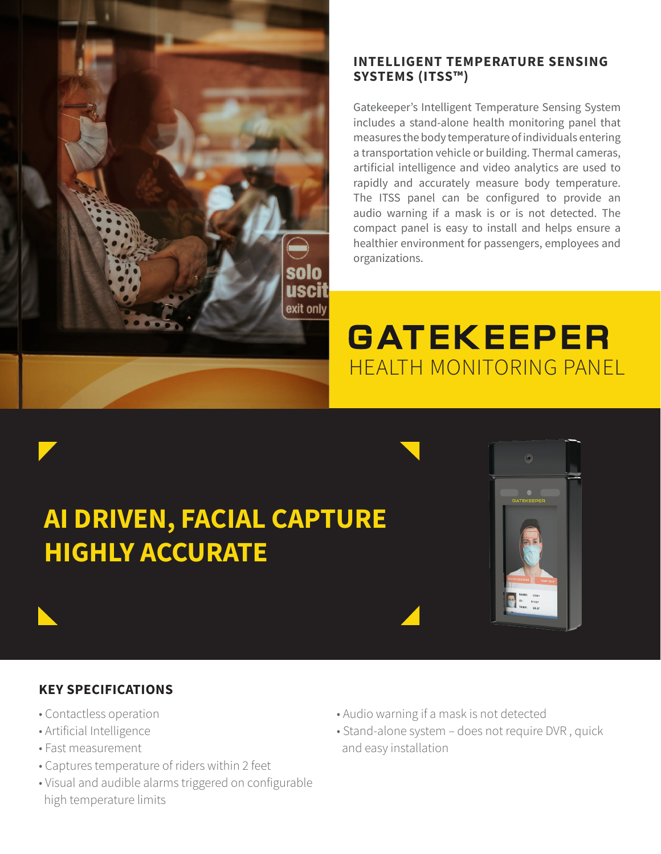

## **INTELLIGENT TEMPERATURE SENSING SYSTEMS (ITSS™)**

Gatekeeper's Intelligent Temperature Sensing System includes a stand-alone health monitoring panel that measures the body temperature of individuals entering a transportation vehicle or building. Thermal cameras, artificial intelligence and video analytics are used to rapidly and accurately measure body temperature. The ITSS panel can be configured to provide an audio warning if a mask is or is not detected. The compact panel is easy to install and helps ensure a healthier environment for passengers, employees and organizations.

# **GATEKEEPER** HEALTH MONITORING PANEL

# **AI DRIVEN, FACIAL CAPTURE HIGHLY ACCURATE**



# **KEY SPECIFICATIONS**

- Contactless operation
- Artificial Intelligence
- Fast measurement
- Captures temperature of riders within 2 feet
- Visual and audible alarms triggered on configurable high temperature limits
- Audio warning if a mask is not detected
- Stand-alone system does not require DVR , quick and easy installation